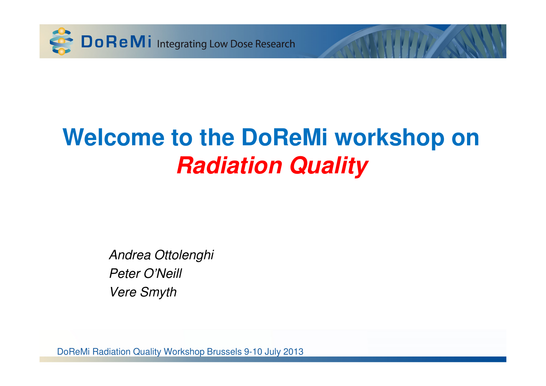

## **Welcome to the DoReMi workshop on Radiation Quality**

Andrea OttolenghiPeter O'NeillVere Smyth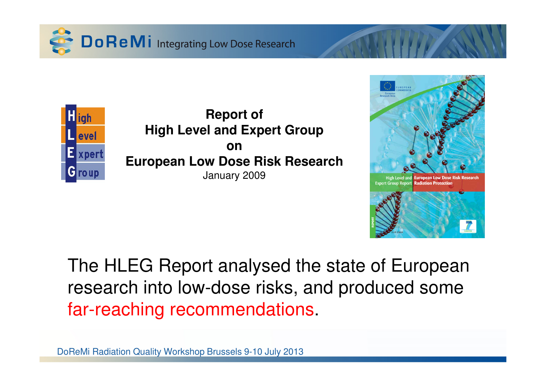



**Report of High Level and Expert Groupon European Low Dose Risk Research**January 2009



The HLEG Report analysed the state of European research into low-dose risks, and produced some far-reaching recommendations.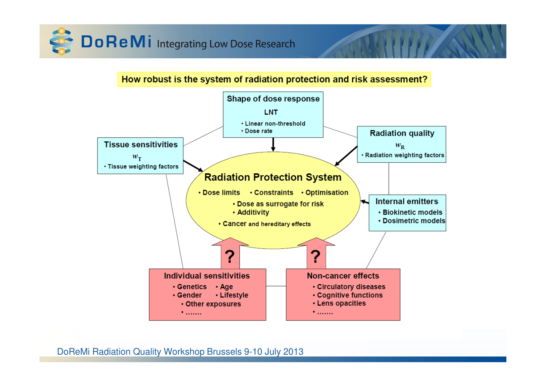

How robust is the system of radiation protection and risk assessment?

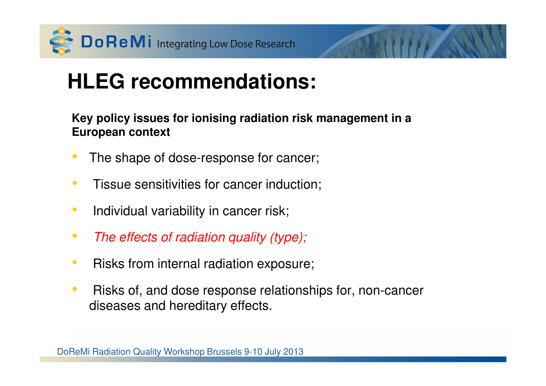

### **HLEG recommendations:**

**Key policy issues for ionising radiation risk management in a European context**

- •The shape of dose-response for cancer;
- •Tissue sensitivities for cancer induction;
- $\bullet$ Individual variability in cancer risk;
- $\bullet$ The effects of radiation quality (type);
- $\bullet$ Risks from internal radiation exposure;
- $\bullet$  Risks of, and dose response relationships for, non-cancer diseases and hereditary effects.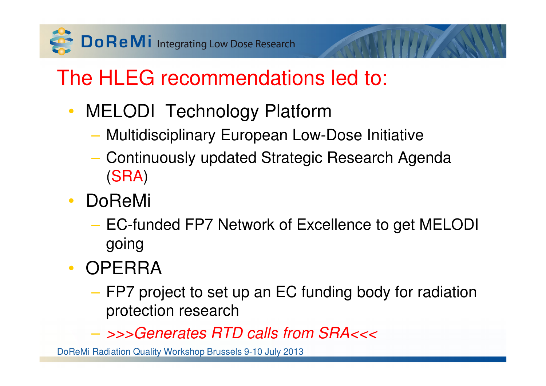

## The HLEG recommendations led to:

- MELODI Technology Platform
	- MUJITIQISCINIINAIV ELIIMAAAN LOM Multidisciplinary European Low-Dose Initiative
	- Continuously updated Strategic Research Agenda (SRA)
- • DoReMi
	- EC-funded FP7 Network of Excellence to get MELODI going
- OPERRA
	- FP7 project to set up an EC funding body for radiation protection research

>>>Generates RTD calls from SRA<<<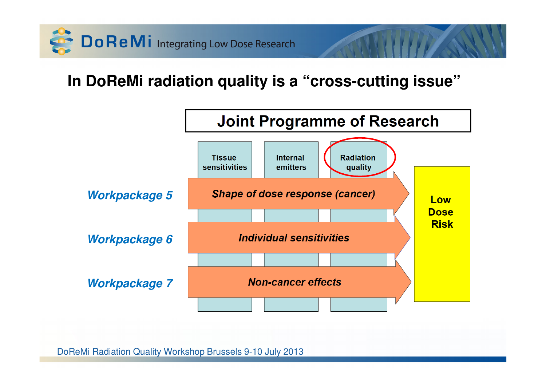

### **In DoReMi radiation quality is a "cross-cutting issue"**

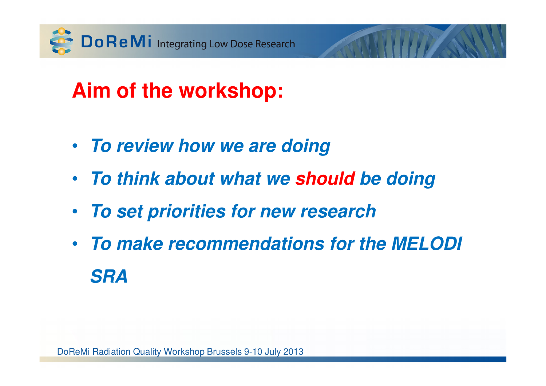

### **Aim of the workshop:**

- **To review how we are doing**
- **To think about what we should be doing**
- **To set priorities for new research**
- **To make recommendations for the MELODI SRA**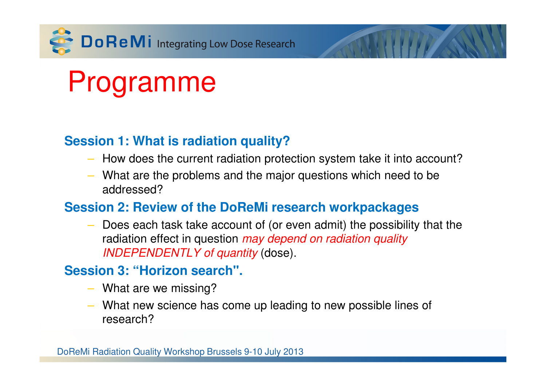

# Programme

#### **Session 1: What is radiation quality?**

- How does the current radiation protection system take it into account?
- What are the problems and the major questions which need to be addressed?

#### **Session 2: Review of the DoReMi research workpackages**

– Does each task take account of (or even admit) the possibility that the radiation effect in question *may depend on radiation quality* INDEPENDENTLY of quantity (dose).

#### **Session 3: "Horizon search".**

- What are we missing?
- What new science has come up leading to new possible lines of research?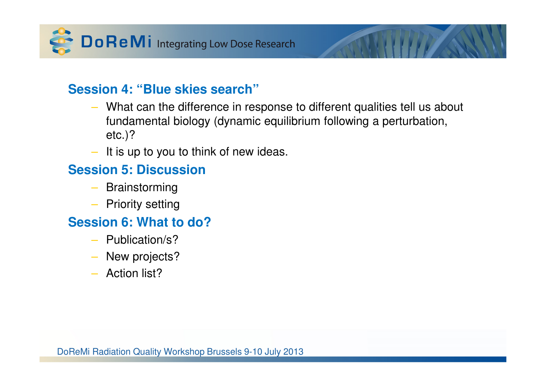

#### **Session 4: "Blue skies search"**

- What can the difference in response to different qualities tell us about fundamental biology (dynamic equilibrium following a perturbation, etc.)?
- It is up to you to think of new ideas.

#### **Session 5: Discussion**

- Brainstorming
- Priority setting

#### **Session 6: What to do?**

- Publication/s?
- New projects?
- Action list?